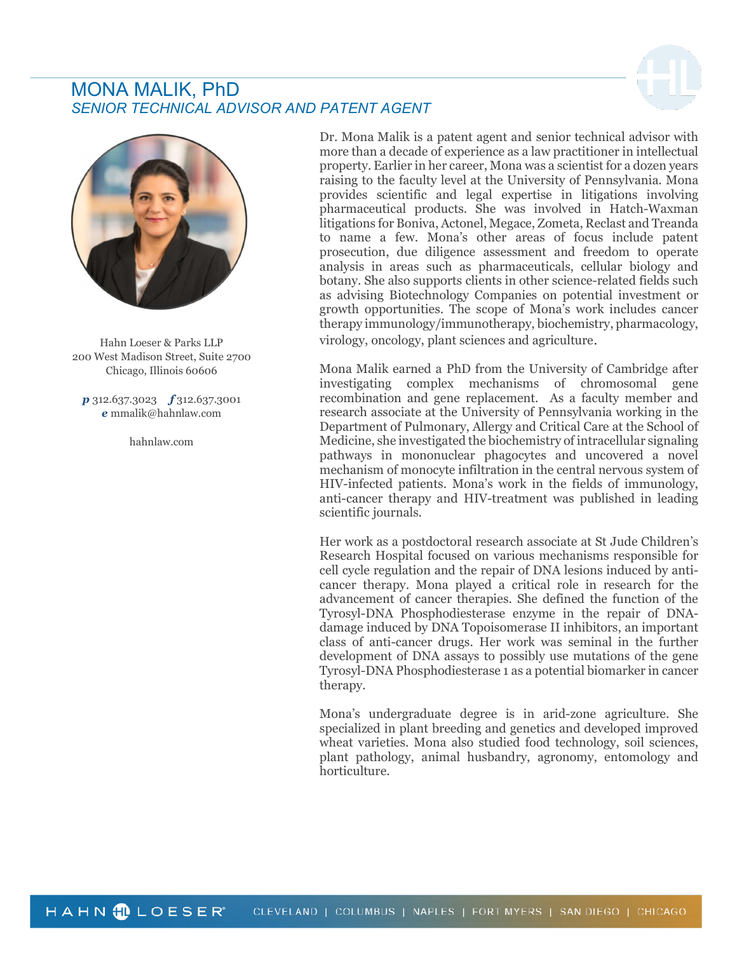# MONA MALIK, PhD SENIOR TECHNICAL ADVISOR AND PATENT AGENT





Hahn Loeser & Parks LLP 200 West Madison Street, Suite 2700 Chicago, Illinois 60606

 $p$  312.637.3023  $f$  312.637.3001 e mmalik@hahnlaw.com

hahnlaw.com

Dr. Mona Malik is a patent agent and senior technical advisor with more than a decade of experience as a law practitioner in intellectual property. Earlier in her career, Mona was a scientist for a dozen years raising to the faculty level at the University of Pennsylvania. Mona provides scientific and legal expertise in litigations involving pharmaceutical products. She was involved in Hatch-Waxman litigations for Boniva, Actonel, Megace, Zometa, Reclast and Treanda to name a few. Mona's other areas of focus include patent prosecution, due diligence assessment and freedom to operate analysis in areas such as pharmaceuticals, cellular biology and botany. She also supports clients in other science-related fields such as advising Biotechnology Companies on potential investment or growth opportunities. The scope of Mona's work includes cancer therapy immunology/immunotherapy, biochemistry, pharmacology, virology, oncology, plant sciences and agriculture.

Mona Malik earned a PhD from the University of Cambridge after investigating complex mechanisms of chromosomal gene recombination and gene replacement. As a faculty member and research associate at the University of Pennsylvania working in the Department of Pulmonary, Allergy and Critical Care at the School of Medicine, she investigated the biochemistry of intracellular signaling pathways in mononuclear phagocytes and uncovered a novel mechanism of monocyte infiltration in the central nervous system of HIV-infected patients. Mona's work in the fields of immunology, anti-cancer therapy and HIV-treatment was published in leading scientific journals.

Her work as a postdoctoral research associate at St Jude Children's Research Hospital focused on various mechanisms responsible for cell cycle regulation and the repair of DNA lesions induced by anticancer therapy. Mona played a critical role in research for the advancement of cancer therapies. She defined the function of the Tyrosyl-DNA Phosphodiesterase enzyme in the repair of DNAdamage induced by DNA Topoisomerase II inhibitors, an important class of anti-cancer drugs. Her work was seminal in the further development of DNA assays to possibly use mutations of the gene Tyrosyl-DNA Phosphodiesterase 1 as a potential biomarker in cancer therapy.

Mona's undergraduate degree is in arid-zone agriculture. She specialized in plant breeding and genetics and developed improved wheat varieties. Mona also studied food technology, soil sciences, plant pathology, animal husbandry, agronomy, entomology and horticulture.